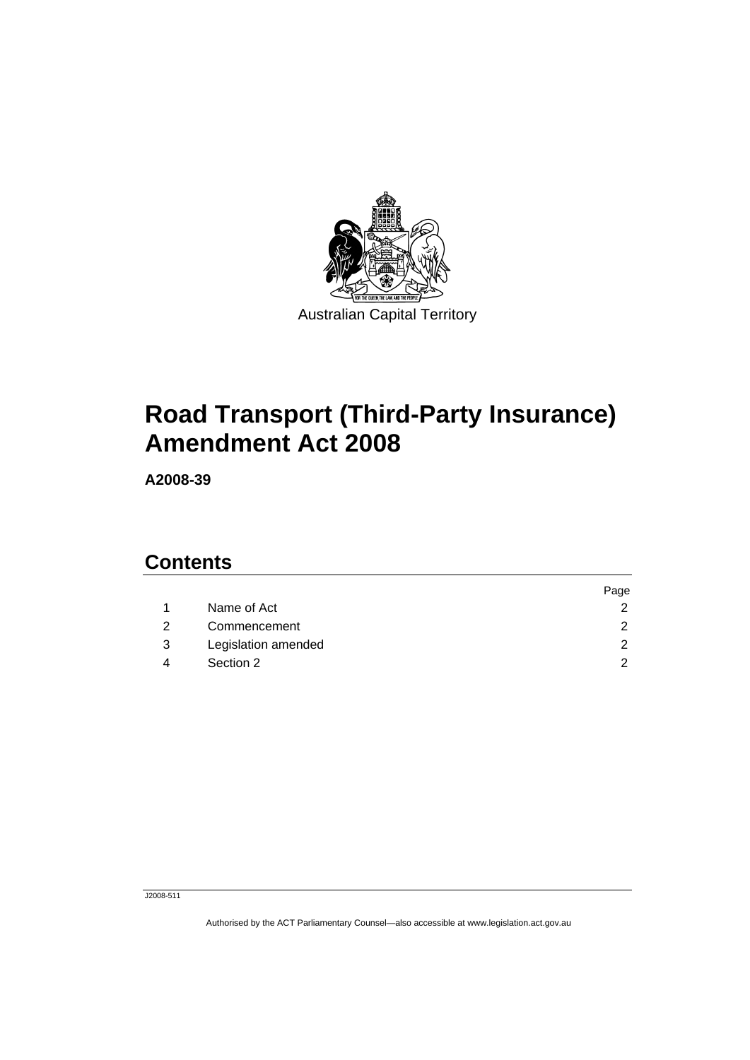

## **[Road Transport \(Third-Party Insurance\)](#page-2-0)  [Amendment Act 2008](#page-2-0)**

**A2008-39** 

## **Contents**

|   |                     | Page          |
|---|---------------------|---------------|
|   | Name of Act         | $\mathcal{P}$ |
|   | Commencement        | $\mathcal{D}$ |
| 3 | Legislation amended | $\mathcal{D}$ |
| Δ | Section 2           | ົ             |

J2008-511

Authorised by the ACT Parliamentary Counsel—also accessible at www.legislation.act.gov.au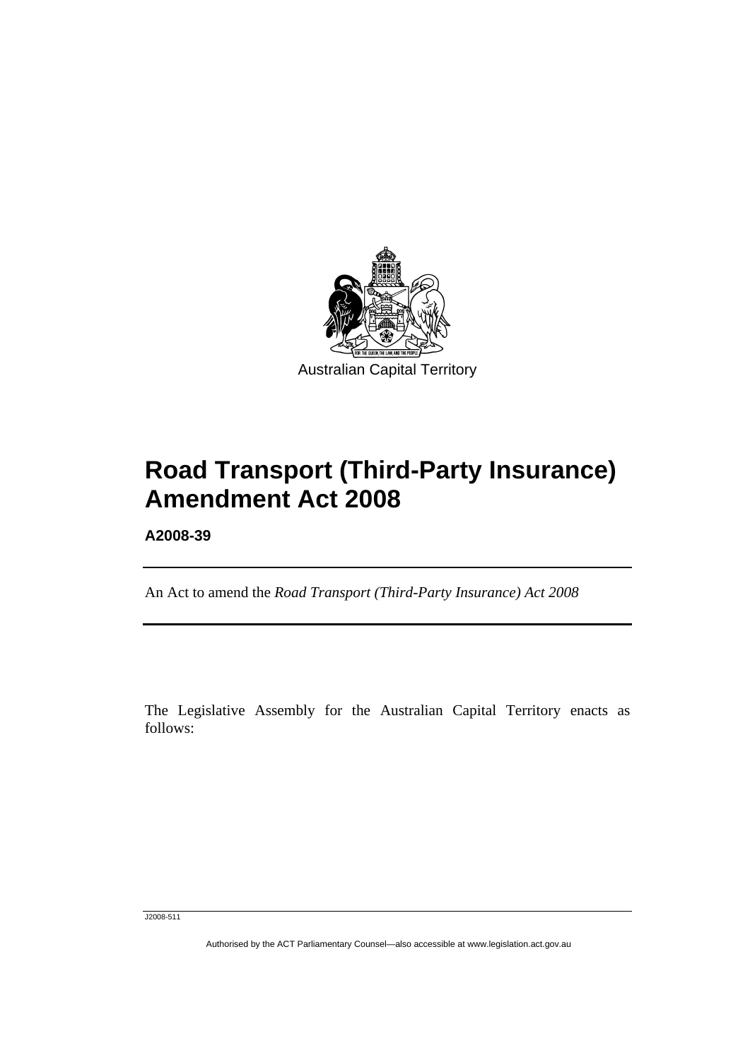<span id="page-2-0"></span>

## **Road Transport (Third-Party Insurance) Amendment Act 2008**

**A2008-39** 

Ī

An Act to amend the *Road Transport (Third-Party Insurance) Act 2008*

The Legislative Assembly for the Australian Capital Territory enacts as follows:

J2008-511

Authorised by the ACT Parliamentary Counsel—also accessible at www.legislation.act.gov.au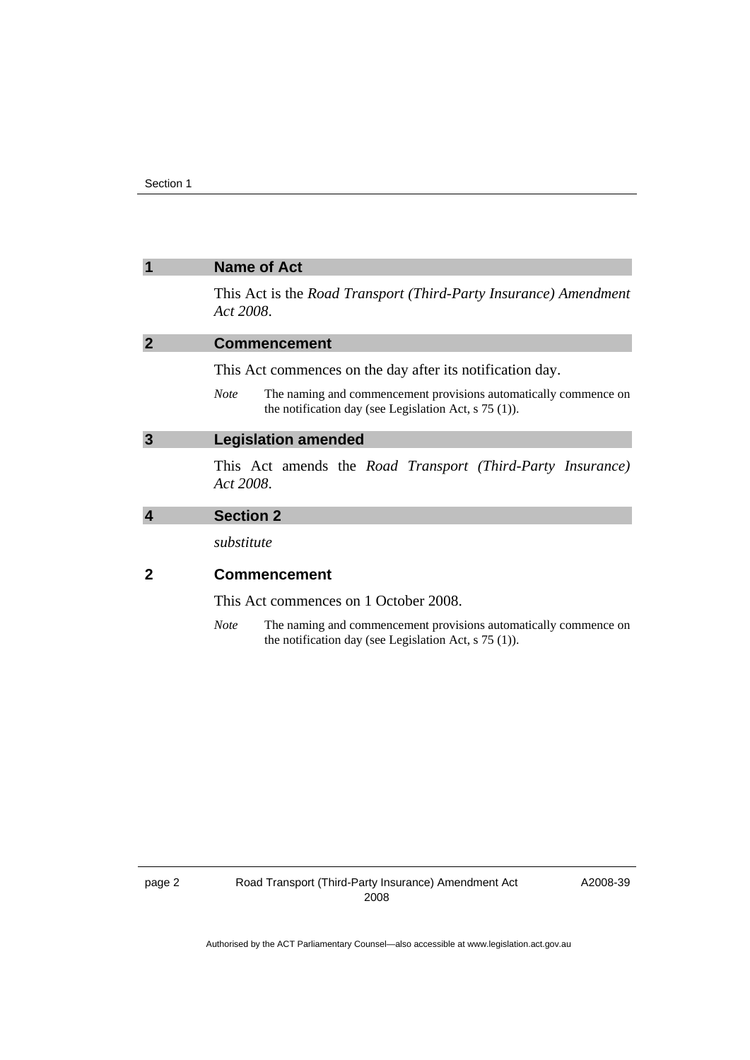<span id="page-3-0"></span>

|   | <b>Name of Act</b>                                                                                                                         |  |
|---|--------------------------------------------------------------------------------------------------------------------------------------------|--|
|   | This Act is the <i>Road Transport (Third-Party Insurance)</i> Amendment<br>Act 2008.                                                       |  |
| 2 | <b>Commencement</b>                                                                                                                        |  |
|   | This Act commences on the day after its notification day.                                                                                  |  |
|   | The naming and commencement provisions automatically commence on<br><b>Note</b><br>the notification day (see Legislation Act, $s$ 75 (1)). |  |
| 3 | <b>Legislation amended</b>                                                                                                                 |  |
|   | This Act amends the Road Transport (Third-Party Insurance)<br>Act 2008.                                                                    |  |
|   | <b>Section 2</b>                                                                                                                           |  |
|   | substitute                                                                                                                                 |  |
|   | <b>Commencement</b>                                                                                                                        |  |
|   | This Act commences on 1 October 2008.                                                                                                      |  |

*Note* The naming and commencement provisions automatically commence on the notification day (see Legislation Act, s 75 (1)).

A2008-39